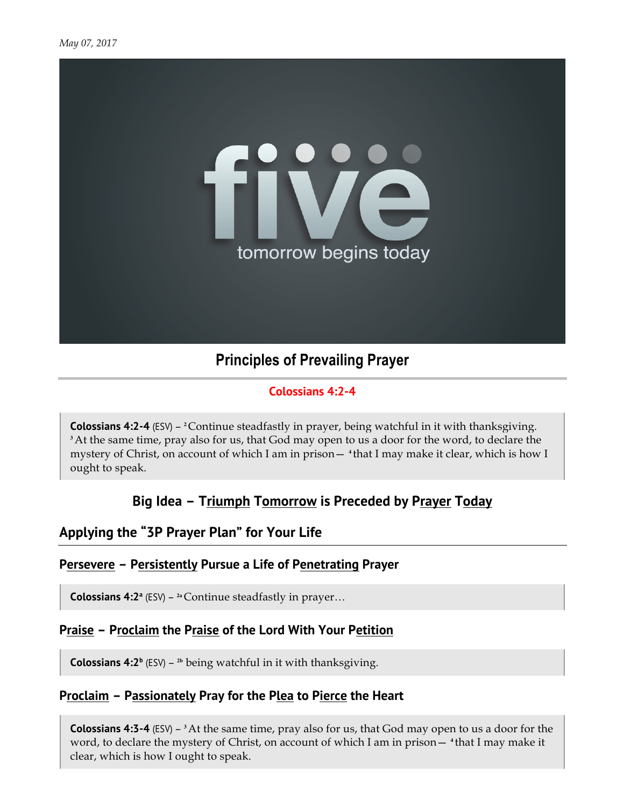

# **Principles of Prevailing Prayer**

### **Colossians 4:2-4**

**Colossians 4:2-4** (ESV) – <sup>2</sup>Continue steadfastly in prayer, being watchful in it with thanksgiving. **<sup>3</sup>**At the same time, pray also for us, that God may open to us a door for the word, to declare the mystery of Christ, on account of which I am in prison— **<sup>4</sup>** that I may make it clear, which is how I ought to speak.

## **Big Idea – Triumph Tomorrow is Preceded by Prayer Today**

### **Applying the "3P Prayer Plan" for Your Life**

### **Persevere – Persistently Pursue a Life of Penetrating Prayer**

**Colossians 4:2<sup>a</sup>** (ESV) – <sup>2a</sup> Continue steadfastly in prayer...

#### **Praise – Proclaim the Praise of the Lord With Your Petition**

**Colossians 4:2<sup>b</sup>** (ESV) – <sup>2b</sup> being watchful in it with thanksgiving.

### **Proclaim – Passionately Pray for the Plea to Pierce the Heart**

**Colossians 4:3-4** (ESV) – **<sup>3</sup>**At the same time, pray also for us, that God may open to us a door for the word, to declare the mystery of Christ, on account of which I am in prison— **<sup>4</sup>** that I may make it clear, which is how I ought to speak.